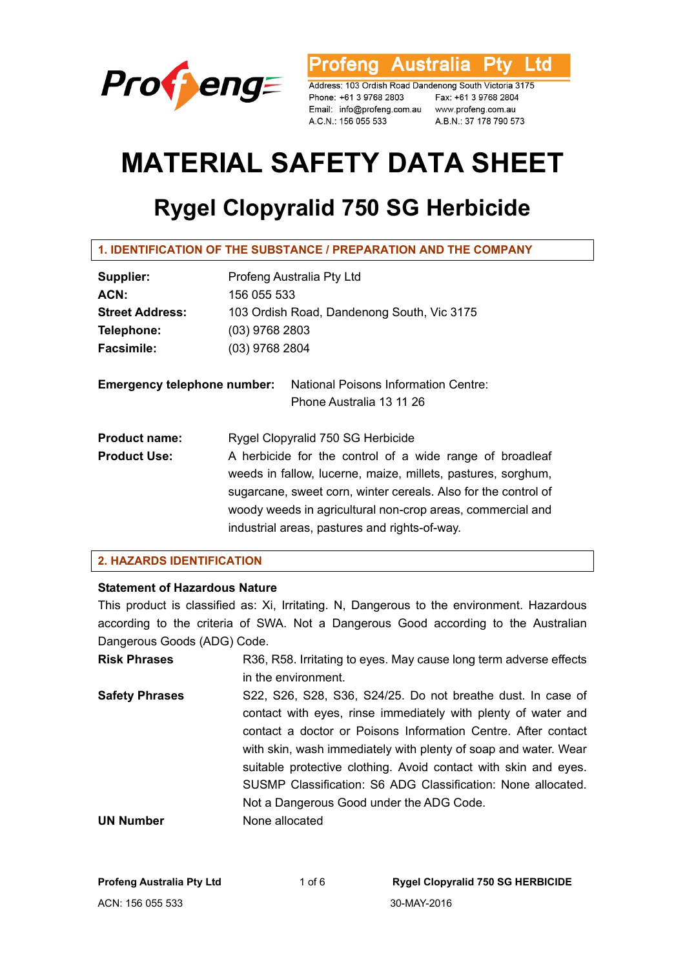

rofeng Australia **Ptv** Ltd

Address: 103 Ordish Road Dandenong South Victoria 3175 Phone: +61 3 9768 2803 Fax: +61 3 9768 2804 Email: info@profeng.com.au www.profeng.com.au A.C.N.: 156 055 533

A.B.N.: 37 178 790 573

# **MATERIAL SAFETY DATA SHEET**

## **Rygel Clopyralid 750 SG Herbicide**

| Supplier:                          | Profeng Australia Pty Ltd                                        |  |
|------------------------------------|------------------------------------------------------------------|--|
| ACN:                               | 156 055 533                                                      |  |
| <b>Street Address:</b>             | 103 Ordish Road, Dandenong South, Vic 3175                       |  |
| Telephone:                         | (03) 9768 2803                                                   |  |
| <b>Facsimile:</b>                  | (03) 9768 2804                                                   |  |
| <b>Emergency telephone number:</b> | National Poisons Information Centre:<br>Phone Australia 13 11 26 |  |
|                                    |                                                                  |  |
| <b>Product name:</b>               | Rygel Clopyralid 750 SG Herbicide                                |  |
| <b>Product Use:</b>                | A herbicide for the control of a wide range of broadleaf         |  |
|                                    | weeds in fallow, lucerne, maize, millets, pastures, sorghum,     |  |
|                                    | sugarcane, sweet corn, winter cereals. Also for the control of   |  |
|                                    | woody weeds in agricultural non-crop areas, commercial and       |  |
|                                    | industrial areas, pastures and rights-of-way.                    |  |

## **2. HAZARDS IDENTIFICATION**

## **Statement of Hazardous Nature**

This product is classified as: Xi, Irritating. N, Dangerous to the environment. Hazardous according to the criteria of SWA. Not a Dangerous Good according to the Australian Dangerous Goods (ADG) Code.

| <b>Risk Phrases</b>   | R36, R58. Irritating to eyes. May cause long term adverse effects |
|-----------------------|-------------------------------------------------------------------|
|                       | in the environment.                                               |
| <b>Safety Phrases</b> | S22, S26, S28, S36, S24/25. Do not breathe dust. In case of       |
|                       | contact with eyes, rinse immediately with plenty of water and     |
|                       | contact a doctor or Poisons Information Centre. After contact     |
|                       | with skin, wash immediately with plenty of soap and water. Wear   |
|                       | suitable protective clothing. Avoid contact with skin and eyes.   |
|                       | SUSMP Classification: S6 ADG Classification: None allocated.      |
|                       | Not a Dangerous Good under the ADG Code.                          |
| <b>UN Number</b>      | None allocated                                                    |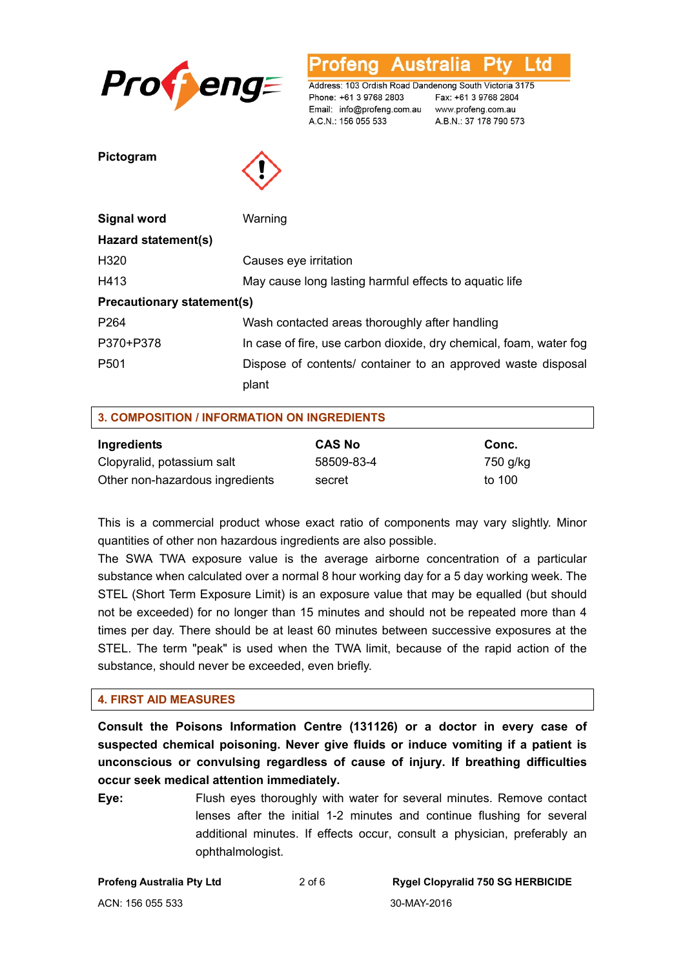

L td **Australia** otena

Address: 103 Ordish Road Dandenong South Victoria 3175 Phone: +61 3 9768 2803 Email: info@profeng.com.au www.profeng.com.au A.C.N.: 156 055 533

Fax: +61 3 9768 2804 A.B.N.: 37 178 790 573

**Pictogram** 



| Signal word                       | Warning                                                            |
|-----------------------------------|--------------------------------------------------------------------|
| Hazard statement(s)               |                                                                    |
| H320                              | Causes eye irritation                                              |
| H413                              | May cause long lasting harmful effects to aquatic life             |
| <b>Precautionary statement(s)</b> |                                                                    |
| P <sub>264</sub>                  | Wash contacted areas thoroughly after handling                     |
| P370+P378                         | In case of fire, use carbon dioxide, dry chemical, foam, water fog |
| P <sub>501</sub>                  | Dispose of contents/ container to an approved waste disposal       |
|                                   | plant                                                              |

| <b>3. COMPOSITION / INFORMATION ON INGREDIENTS</b> |               |          |  |  |
|----------------------------------------------------|---------------|----------|--|--|
| Ingredients                                        | <b>CAS No</b> | Conc.    |  |  |
| Clopyralid, potassium salt                         | 58509-83-4    | 750 g/kg |  |  |
| Other non-hazardous ingredients                    | secret        | to 100   |  |  |

This is a commercial product whose exact ratio of components may vary slightly. Minor quantities of other non hazardous ingredients are also possible.

The SWA TWA exposure value is the average airborne concentration of a particular substance when calculated over a normal 8 hour working day for a 5 day working week. The STEL (Short Term Exposure Limit) is an exposure value that may be equalled (but should not be exceeded) for no longer than 15 minutes and should not be repeated more than 4 times per day. There should be at least 60 minutes between successive exposures at the STEL. The term "peak" is used when the TWA limit, because of the rapid action of the substance, should never be exceeded, even briefly.

## **4. FIRST AID MEASURES**

**Consult the Poisons Information Centre (131126) or a doctor in every case of suspected chemical poisoning. Never give fluids or induce vomiting if a patient is unconscious or convulsing regardless of cause of injury. If breathing difficulties occur seek medical attention immediately.** 

**Eye:** Flush eyes thoroughly with water for several minutes. Remove contact lenses after the initial 1-2 minutes and continue flushing for several additional minutes. If effects occur, consult a physician, preferably an ophthalmologist.

**Profeng Australia Pty Ltd** 2 of 6 **Rygel Clopyralid 750 SG HERBICIDE**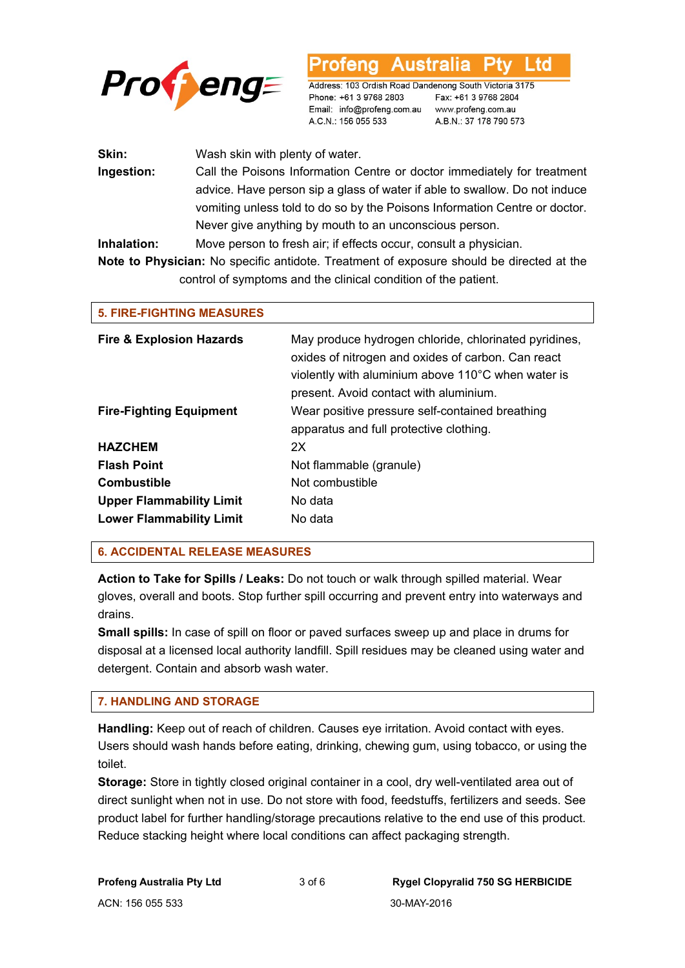

td

Address: 103 Ordish Road Dandenong South Victoria 3175 Phone: +61 3 9768 2803 Email: info@profeng.com.au www.profeng.com.au A.C.N.: 156 055 533

Fax: +61 3 9768 2804 A.B.N.: 37 178 790 573

| Skin:                                                                                           | Wash skin with plenty of water.                                            |  |
|-------------------------------------------------------------------------------------------------|----------------------------------------------------------------------------|--|
| Ingestion:                                                                                      | Call the Poisons Information Centre or doctor immediately for treatment    |  |
|                                                                                                 | advice. Have person sip a glass of water if able to swallow. Do not induce |  |
|                                                                                                 | vomiting unless told to do so by the Poisons Information Centre or doctor. |  |
|                                                                                                 | Never give anything by mouth to an unconscious person.                     |  |
| Inhalation:                                                                                     | Move person to fresh air; if effects occur, consult a physician.           |  |
| <b>Note to Physician:</b> No specific antidote. Treatment of exposure should be directed at the |                                                                            |  |

control of symptoms and the clinical condition of the patient.

| <b>5. FIRE-FIGHTING MEASURES</b>    |                                                                                                                                                                                                             |
|-------------------------------------|-------------------------------------------------------------------------------------------------------------------------------------------------------------------------------------------------------------|
| <b>Fire &amp; Explosion Hazards</b> | May produce hydrogen chloride, chlorinated pyridines,<br>oxides of nitrogen and oxides of carbon. Can react<br>violently with aluminium above 110°C when water is<br>present. Avoid contact with aluminium. |
| <b>Fire-Fighting Equipment</b>      | Wear positive pressure self-contained breathing<br>apparatus and full protective clothing.                                                                                                                  |
| <b>HAZCHEM</b>                      | 2X                                                                                                                                                                                                          |
| <b>Flash Point</b>                  | Not flammable (granule)                                                                                                                                                                                     |
| <b>Combustible</b>                  | Not combustible                                                                                                                                                                                             |
| <b>Upper Flammability Limit</b>     | No data                                                                                                                                                                                                     |
| <b>Lower Flammability Limit</b>     | No data                                                                                                                                                                                                     |

## **6. ACCIDENTAL RELEASE MEASURES**

**Action to Take for Spills / Leaks:** Do not touch or walk through spilled material. Wear gloves, overall and boots. Stop further spill occurring and prevent entry into waterways and drains.

**Small spills:** In case of spill on floor or paved surfaces sweep up and place in drums for disposal at a licensed local authority landfill. Spill residues may be cleaned using water and detergent. Contain and absorb wash water.

## **7. HANDLING AND STORAGE**

**Handling:** Keep out of reach of children. Causes eye irritation. Avoid contact with eyes. Users should wash hands before eating, drinking, chewing gum, using tobacco, or using the toilet.

**Storage:** Store in tightly closed original container in a cool, dry well-ventilated area out of direct sunlight when not in use. Do not store with food, feedstuffs, fertilizers and seeds. See product label for further handling/storage precautions relative to the end use of this product. Reduce stacking height where local conditions can affect packaging strength.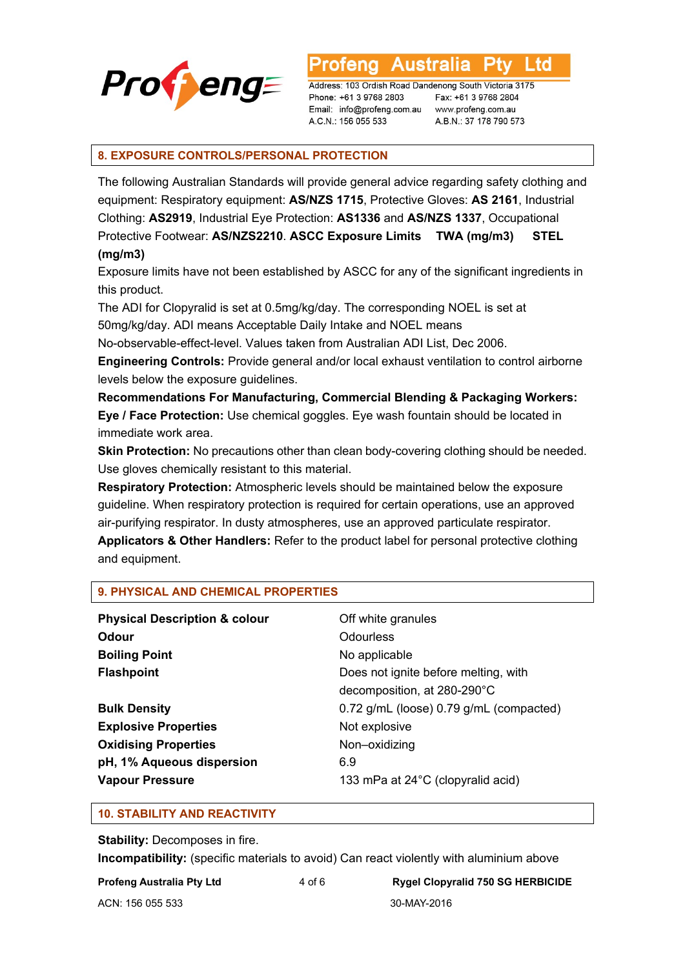

Ltd **Australia** 

Address: 103 Ordish Road Dandenong South Victoria 3175 Phone: +61 3 9768 2803 Email: info@profeng.com.au A.C.N.: 156 055 533

Fax: +61 3 9768 2804 www.profeng.com.au A.B.N.: 37 178 790 573

## **8. EXPOSURE CONTROLS/PERSONAL PROTECTION**

The following Australian Standards will provide general advice regarding safety clothing and equipment: Respiratory equipment: **AS/NZS 1715**, Protective Gloves: **AS 2161**, Industrial Clothing: **AS2919**, Industrial Eye Protection: **AS1336** and **AS/NZS 1337**, Occupational Protective Footwear: **AS/NZS2210**. **ASCC Exposure Limits TWA (mg/m3) STEL (mg/m3)** 

Exposure limits have not been established by ASCC for any of the significant ingredients in this product.

The ADI for Clopyralid is set at 0.5mg/kg/day. The corresponding NOEL is set at 50mg/kg/day. ADI means Acceptable Daily Intake and NOEL means

No-observable-effect-level. Values taken from Australian ADI List, Dec 2006.

**Engineering Controls:** Provide general and/or local exhaust ventilation to control airborne levels below the exposure guidelines.

**Recommendations For Manufacturing, Commercial Blending & Packaging Workers: Eye / Face Protection:** Use chemical goggles. Eye wash fountain should be located in immediate work area.

**Skin Protection:** No precautions other than clean body-covering clothing should be needed. Use gloves chemically resistant to this material.

**Respiratory Protection:** Atmospheric levels should be maintained below the exposure guideline. When respiratory protection is required for certain operations, use an approved air-purifying respirator. In dusty atmospheres, use an approved particulate respirator.

**Applicators & Other Handlers:** Refer to the product label for personal protective clothing and equipment.

#### **9. PHYSICAL AND CHEMICAL PROPERTIES**

| <b>Physical Description &amp; colour</b><br>Odour<br><b>Boiling Point</b> | Off white granules<br>Odourless<br>No applicable                                                               |
|---------------------------------------------------------------------------|----------------------------------------------------------------------------------------------------------------|
| <b>Flashpoint</b><br><b>Bulk Density</b>                                  | Does not ignite before melting, with<br>decomposition, at 280-290°C<br>0.72 g/mL (loose) 0.79 g/mL (compacted) |
| <b>Explosive Properties</b>                                               | Not explosive                                                                                                  |
| <b>Oxidising Properties</b>                                               | Non-oxidizing                                                                                                  |
| pH, 1% Aqueous dispersion<br><b>Vapour Pressure</b>                       | 6.9<br>133 mPa at 24°C (clopyralid acid)                                                                       |

#### **10. STABILITY AND REACTIVITY**

**Stability: Decomposes in fire.** 

**Incompatibility:** (specific materials to avoid) Can react violently with aluminium above

#### **Profeng Australia Pty Ltd** 4 of 6 **Rygel Clopyralid 750 SG HERBICIDE**

ACN: 156 055 533 30-MAY-2016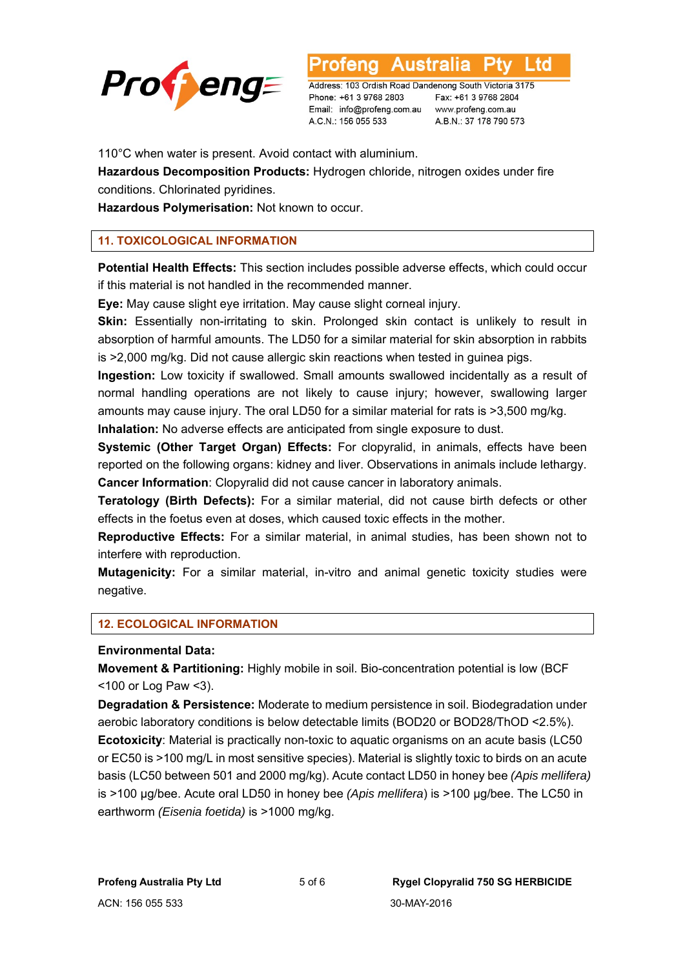

Australia L td

Address: 103 Ordish Road Dandenong South Victoria 3175 Phone: +61 3 9768 2803 Email: info@profeng.com.au A.C.N.: 156 055 533

Fax: +61 3 9768 2804 www.profeng.com.au A.B.N.: 37 178 790 573

110°C when water is present. Avoid contact with aluminium.

**Hazardous Decomposition Products:** Hydrogen chloride, nitrogen oxides under fire conditions. Chlorinated pyridines.

**Hazardous Polymerisation:** Not known to occur.

## **11. TOXICOLOGICAL INFORMATION**

**Potential Health Effects:** This section includes possible adverse effects, which could occur if this material is not handled in the recommended manner.

**Eye:** May cause slight eye irritation. May cause slight corneal injury.

**Skin:** Essentially non-irritating to skin. Prolonged skin contact is unlikely to result in absorption of harmful amounts. The LD50 for a similar material for skin absorption in rabbits is >2,000 mg/kg. Did not cause allergic skin reactions when tested in guinea pigs.

**Ingestion:** Low toxicity if swallowed. Small amounts swallowed incidentally as a result of normal handling operations are not likely to cause injury; however, swallowing larger amounts may cause injury. The oral LD50 for a similar material for rats is >3,500 mg/kg.

**Inhalation:** No adverse effects are anticipated from single exposure to dust.

**Systemic (Other Target Organ) Effects:** For clopyralid, in animals, effects have been reported on the following organs: kidney and liver. Observations in animals include lethargy. **Cancer Information**: Clopyralid did not cause cancer in laboratory animals.

**Teratology (Birth Defects):** For a similar material, did not cause birth defects or other effects in the foetus even at doses, which caused toxic effects in the mother.

**Reproductive Effects:** For a similar material, in animal studies, has been shown not to interfere with reproduction.

**Mutagenicity:** For a similar material, in-vitro and animal genetic toxicity studies were negative.

## **12. ECOLOGICAL INFORMATION**

#### **Environmental Data:**

**Movement & Partitioning:** Highly mobile in soil. Bio-concentration potential is low (BCF <100 or Log Paw <3).

**Degradation & Persistence:** Moderate to medium persistence in soil. Biodegradation under aerobic laboratory conditions is below detectable limits (BOD20 or BOD28/ThOD <2.5%). **Ecotoxicity**: Material is practically non-toxic to aquatic organisms on an acute basis (LC50 or EC50 is >100 mg/L in most sensitive species). Material is slightly toxic to birds on an acute basis (LC50 between 501 and 2000 mg/kg). Acute contact LD50 in honey bee *(Apis mellifera)*  is >100 μg/bee. Acute oral LD50 in honey bee *(Apis mellifera*) is >100 μg/bee. The LC50 in earthworm *(Eisenia foetida)* is >1000 mg/kg.